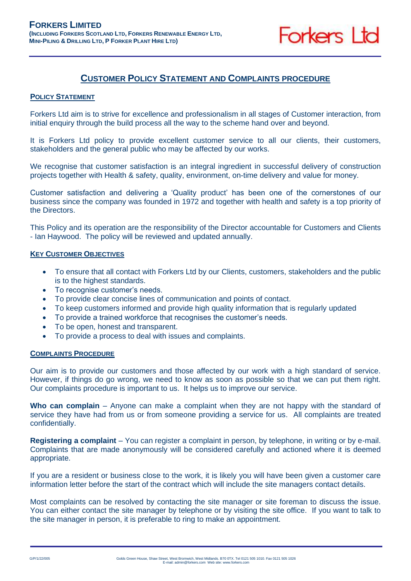

## **CUSTOMER POLICY STATEMENT AND COMPLAINTS PROCEDURE**

## **POLICY STATEMENT**

Forkers Ltd aim is to strive for excellence and professionalism in all stages of Customer interaction, from initial enquiry through the build process all the way to the scheme hand over and beyond.

It is Forkers Ltd policy to provide excellent customer service to all our clients, their customers, stakeholders and the general public who may be affected by our works.

We recognise that customer satisfaction is an integral ingredient in successful delivery of construction projects together with Health & safety, quality, environment, on-time delivery and value for money.

Customer satisfaction and delivering a 'Quality product' has been one of the cornerstones of our business since the company was founded in 1972 and together with health and safety is a top priority of the Directors.

This Policy and its operation are the responsibility of the Director accountable for Customers and Clients - Ian Haywood. The policy will be reviewed and updated annually.

## **KEY CUSTOMER OBJECTIVES**

- To ensure that all contact with Forkers Ltd by our Clients, customers, stakeholders and the public is to the highest standards.
- To recognise customer's needs.
- To provide clear concise lines of communication and points of contact.
- To keep customers informed and provide high quality information that is regularly updated
- To provide a trained workforce that recognises the customer's needs.
- To be open, honest and transparent.
- To provide a process to deal with issues and complaints.

## **COMPLAINTS PROCEDURE**

Our aim is to provide our customers and those affected by our work with a high standard of service. However, if things do go wrong, we need to know as soon as possible so that we can put them right. Our complaints procedure is important to us. It helps us to improve our service.

**Who can complain** – Anyone can make a complaint when they are not happy with the standard of service they have had from us or from someone providing a service for us. All complaints are treated confidentially.

**Registering a complaint** – You can register a complaint in person, by telephone, in writing or by e-mail. Complaints that are made anonymously will be considered carefully and actioned where it is deemed appropriate.

If you are a resident or business close to the work, it is likely you will have been given a customer care information letter before the start of the contract which will include the site managers contact details.

Most complaints can be resolved by contacting the site manager or site foreman to discuss the issue. You can either contact the site manager by telephone or by visiting the site office. If you want to talk to the site manager in person, it is preferable to ring to make an appointment.